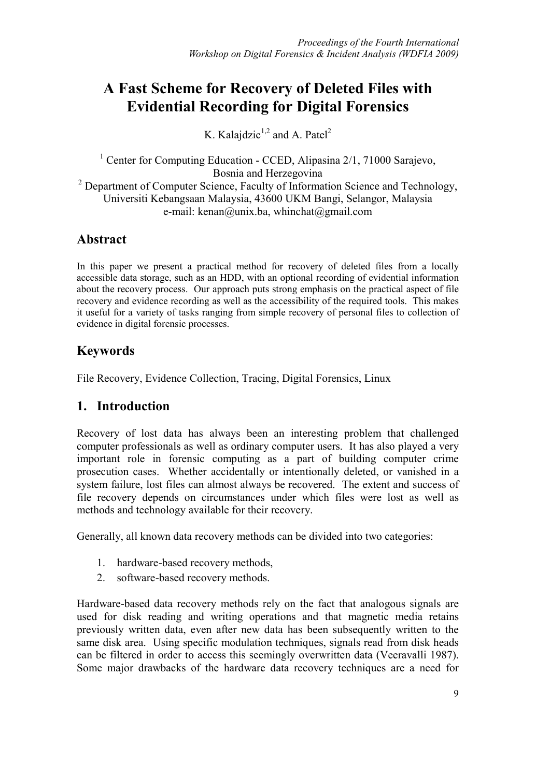# **A Fast Scheme for Recovery of Deleted Files with Evidential Recording for Digital Forensics**

K. Kalajdzic<sup>1,2</sup> and A. Patel<sup>2</sup>

<sup>1</sup> Center for Computing Education - CCED, Alipasina 2/1, 71000 Sarajevo, Bosnia and Herzegovina <sup>2</sup> Department of Computer Science, Faculty of Information Science and Technology, Universiti Kebangsaan Malaysia, 43600 UKM Bangi, Selangor, Malaysia e-mail: kenan@unix.ba, whinchat@gmail.com

# **Abstract**

In this paper we present a practical method for recovery of deleted files from a locally accessible data storage, such as an HDD, with an optional recording of evidential information about the recovery process. Our approach puts strong emphasis on the practical aspect of file recovery and evidence recording as well as the accessibility of the required tools. This makes it useful for a variety of tasks ranging from simple recovery of personal files to collection of evidence in digital forensic processes.

# **Keywords**

File Recovery, Evidence Collection, Tracing, Digital Forensics, Linux

## **1. Introduction**

Recovery of lost data has always been an interesting problem that challenged computer professionals as well as ordinary computer users. It has also played a very important role in forensic computing as a part of building computer crime prosecution cases. Whether accidentally or intentionally deleted, or vanished in a system failure, lost files can almost always be recovered. The extent and success of file recovery depends on circumstances under which files were lost as well as methods and technology available for their recovery.

Generally, all known data recovery methods can be divided into two categories:

- 1. hardware-based recovery methods,
- 2. software-based recovery methods.

Hardware-based data recovery methods rely on the fact that analogous signals are used for disk reading and writing operations and that magnetic media retains previously written data, even after new data has been subsequently written to the same disk area. Using specific modulation techniques, signals read from disk heads can be filtered in order to access this seemingly overwritten data (Veeravalli 1987). Some major drawbacks of the hardware data recovery techniques are a need for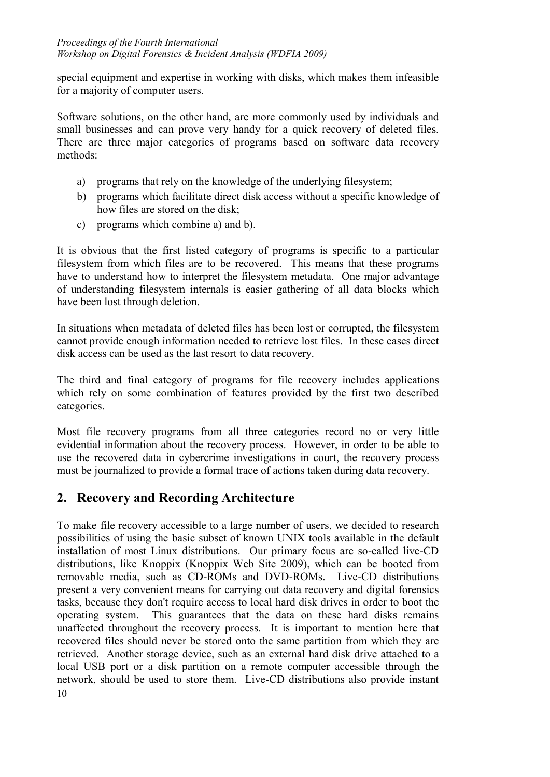special equipment and expertise in working with disks, which makes them infeasible for a majority of computer users.

Software solutions, on the other hand, are more commonly used by individuals and small businesses and can prove very handy for a quick recovery of deleted files. There are three major categories of programs based on software data recovery methods:

- a) programs that rely on the knowledge of the underlying filesystem;
- b) programs which facilitate direct disk access without a specific knowledge of how files are stored on the disk;
- c) programs which combine a) and b).

It is obvious that the first listed category of programs is specific to a particular filesystem from which files are to be recovered. This means that these programs have to understand how to interpret the filesystem metadata. One major advantage of understanding filesystem internals is easier gathering of all data blocks which have been lost through deletion.

In situations when metadata of deleted files has been lost or corrupted, the filesystem cannot provide enough information needed to retrieve lost files. In these cases direct disk access can be used as the last resort to data recovery.

The third and final category of programs for file recovery includes applications which rely on some combination of features provided by the first two described categories.

Most file recovery programs from all three categories record no or very little evidential information about the recovery process. However, in order to be able to use the recovered data in cybercrime investigations in court, the recovery process must be journalized to provide a formal trace of actions taken during data recovery.

# **2. Recovery and Recording Architecture**

10 To make file recovery accessible to a large number of users, we decided to research possibilities of using the basic subset of known UNIX tools available in the default installation of most Linux distributions. Our primary focus are so-called live-CD distributions, like Knoppix (Knoppix Web Site 2009), which can be booted from removable media, such as CD-ROMs and DVD-ROMs. Live-CD distributions present a very convenient means for carrying out data recovery and digital forensics tasks, because they don't require access to local hard disk drives in order to boot the operating system. This guarantees that the data on these hard disks remains unaffected throughout the recovery process. It is important to mention here that recovered files should never be stored onto the same partition from which they are retrieved. Another storage device, such as an external hard disk drive attached to a local USB port or a disk partition on a remote computer accessible through the network, should be used to store them. Live-CD distributions also provide instant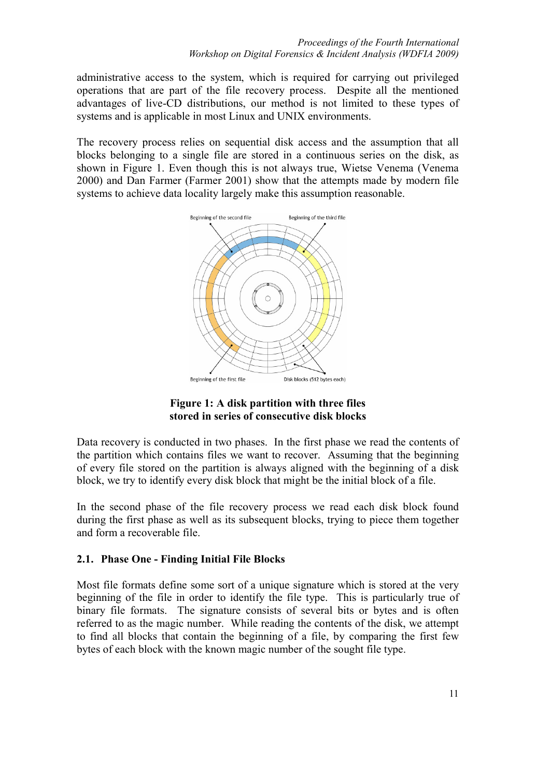administrative access to the system, which is required for carrying out privileged operations that are part of the file recovery process. Despite all the mentioned advantages of live-CD distributions, our method is not limited to these types of systems and is applicable in most Linux and UNIX environments.

The recovery process relies on sequential disk access and the assumption that all blocks belonging to a single file are stored in a continuous series on the disk, as shown in Figure 1. Even though this is not always true, Wietse Venema (Venema 2000) and Dan Farmer (Farmer 2001) show that the attempts made by modern file systems to achieve data locality largely make this assumption reasonable.



**Figure 1: A disk partition with three files stored in series of consecutive disk blocks** 

Data recovery is conducted in two phases. In the first phase we read the contents of the partition which contains files we want to recover. Assuming that the beginning of every file stored on the partition is always aligned with the beginning of a disk block, we try to identify every disk block that might be the initial block of a file.

In the second phase of the file recovery process we read each disk block found during the first phase as well as its subsequent blocks, trying to piece them together and form a recoverable file.

#### **2.1. Phase One - Finding Initial File Blocks**

Most file formats define some sort of a unique signature which is stored at the very beginning of the file in order to identify the file type. This is particularly true of binary file formats. The signature consists of several bits or bytes and is often referred to as the magic number. While reading the contents of the disk, we attempt to find all blocks that contain the beginning of a file, by comparing the first few bytes of each block with the known magic number of the sought file type.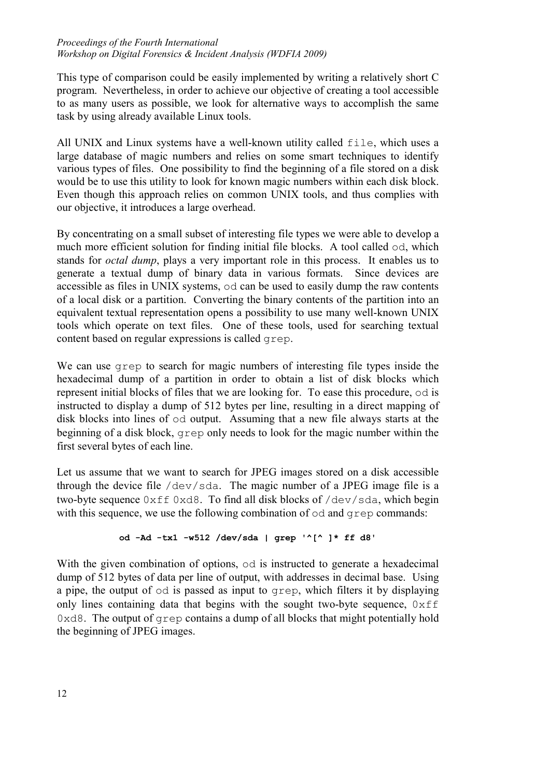This type of comparison could be easily implemented by writing a relatively short C program. Nevertheless, in order to achieve our objective of creating a tool accessible to as many users as possible, we look for alternative ways to accomplish the same task by using already available Linux tools.

All UNIX and Linux systems have a well-known utility called file, which uses a large database of magic numbers and relies on some smart techniques to identify various types of files. One possibility to find the beginning of a file stored on a disk would be to use this utility to look for known magic numbers within each disk block. Even though this approach relies on common UNIX tools, and thus complies with our objective, it introduces a large overhead.

By concentrating on a small subset of interesting file types we were able to develop a much more efficient solution for finding initial file blocks. A tool called od, which stands for *octal dump*, plays a very important role in this process. It enables us to generate a textual dump of binary data in various formats. Since devices are accessible as files in UNIX systems, od can be used to easily dump the raw contents of a local disk or a partition. Converting the binary contents of the partition into an equivalent textual representation opens a possibility to use many well-known UNIX tools which operate on text files. One of these tools, used for searching textual content based on regular expressions is called grep.

We can use grep to search for magic numbers of interesting file types inside the hexadecimal dump of a partition in order to obtain a list of disk blocks which represent initial blocks of files that we are looking for. To ease this procedure, od is instructed to display a dump of 512 bytes per line, resulting in a direct mapping of disk blocks into lines of od output. Assuming that a new file always starts at the beginning of a disk block, grep only needs to look for the magic number within the first several bytes of each line.

Let us assume that we want to search for JPEG images stored on a disk accessible through the device file /dev/sda. The magic number of a JPEG image file is a two-byte sequence 0xff 0xd8. To find all disk blocks of /dev/sda, which begin with this sequence, we use the following combination of  $od$  and  $q$  rep commands:

#### **od -Ad -tx1 -w512 /dev/sda | grep '^[^ ]\* ff d8'**

With the given combination of options,  $od$  is instructed to generate a hexadecimal dump of 512 bytes of data per line of output, with addresses in decimal base. Using a pipe, the output of od is passed as input to grep, which filters it by displaying only lines containing data that begins with the sought two-byte sequence,  $0 \times f f$  $0 \times d8$ . The output of grep contains a dump of all blocks that might potentially hold the beginning of JPEG images.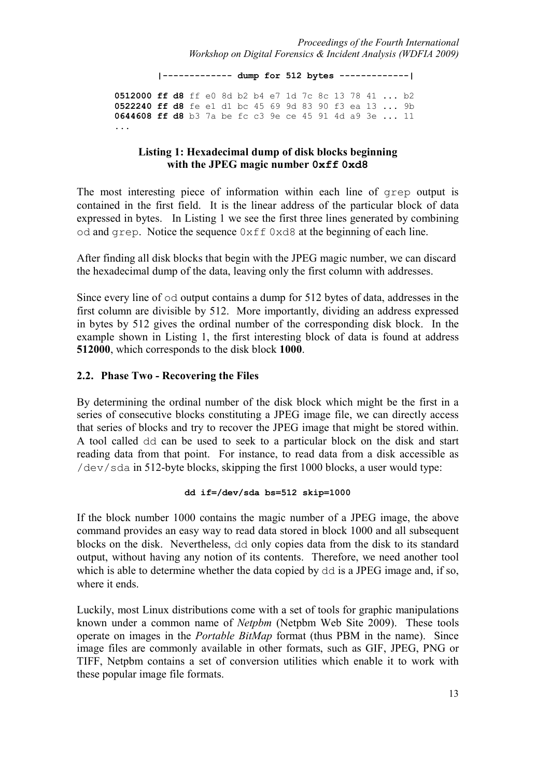**|------------- dump for 512 bytes -------------| 0512000 ff d8** ff e0 8d b2 b4 e7 1d 7c 8c 13 78 41 ... b2 **0522240 ff d8** fe e1 d1 bc 45 69 9d 83 90 f3 ea 13 ... 9b **0644608 ff d8** b3 7a be fc c3 9e ce 45 91 4d a9 3e ... 11 ...

#### **Listing 1: Hexadecimal dump of disk blocks beginning with the JPEG magic number 0xff 0xd8**

The most interesting piece of information within each line of grep output is contained in the first field. It is the linear address of the particular block of data expressed in bytes. In Listing 1 we see the first three lines generated by combining od and grep. Notice the sequence 0xff 0xd8 at the beginning of each line.

After finding all disk blocks that begin with the JPEG magic number, we can discard the hexadecimal dump of the data, leaving only the first column with addresses.

Since every line of od output contains a dump for 512 bytes of data, addresses in the first column are divisible by 512. More importantly, dividing an address expressed in bytes by 512 gives the ordinal number of the corresponding disk block. In the example shown in Listing 1, the first interesting block of data is found at address **512000**, which corresponds to the disk block **1000**.

#### **2.2. Phase Two - Recovering the Files**

By determining the ordinal number of the disk block which might be the first in a series of consecutive blocks constituting a JPEG image file, we can directly access that series of blocks and try to recover the JPEG image that might be stored within. A tool called dd can be used to seek to a particular block on the disk and start reading data from that point. For instance, to read data from a disk accessible as /dev/sda in 512-byte blocks, skipping the first 1000 blocks, a user would type:

#### **dd if=/dev/sda bs=512 skip=1000**

If the block number 1000 contains the magic number of a JPEG image, the above command provides an easy way to read data stored in block 1000 and all subsequent blocks on the disk. Nevertheless, dd only copies data from the disk to its standard output, without having any notion of its contents. Therefore, we need another tool which is able to determine whether the data copied by  $dd$  is a JPEG image and, if so, where it ends.

Luckily, most Linux distributions come with a set of tools for graphic manipulations known under a common name of *Netpbm* (Netpbm Web Site 2009). These tools operate on images in the *Portable BitMap* format (thus PBM in the name). Since image files are commonly available in other formats, such as GIF, JPEG, PNG or TIFF, Netpbm contains a set of conversion utilities which enable it to work with these popular image file formats.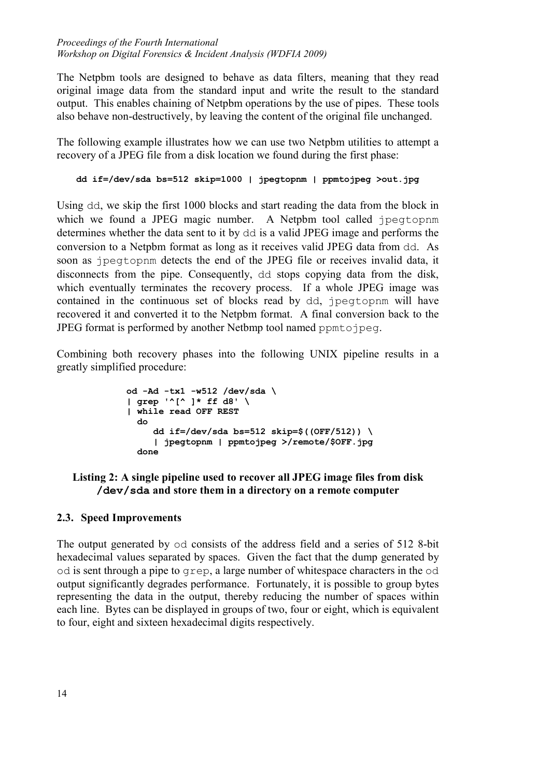The Netpbm tools are designed to behave as data filters, meaning that they read original image data from the standard input and write the result to the standard output. This enables chaining of Netpbm operations by the use of pipes. These tools also behave non-destructively, by leaving the content of the original file unchanged.

The following example illustrates how we can use two Netpbm utilities to attempt a recovery of a JPEG file from a disk location we found during the first phase:

```
dd if=/dev/sda bs=512 skip=1000 | jpegtopnm | ppmtojpeg >out.jpg
```
Using dd, we skip the first 1000 blocks and start reading the data from the block in which we found a JPEG magic number. A Netpbm tool called jpegtopnm determines whether the data sent to it by dd is a valid JPEG image and performs the conversion to a Netpbm format as long as it receives valid JPEG data from dd. As soon as jpegtopnm detects the end of the JPEG file or receives invalid data, it disconnects from the pipe. Consequently, dd stops copying data from the disk, which eventually terminates the recovery process. If a whole JPEG image was contained in the continuous set of blocks read by dd, jpegtopnm will have recovered it and converted it to the Netpbm format. A final conversion back to the JPEG format is performed by another Netbmp tool named ppmtojpeg.

Combining both recovery phases into the following UNIX pipeline results in a greatly simplified procedure:

```
 od -Ad -tx1 -w512 /dev/sda \ 
            | grep '^[^ ]* ff d8' \ 
            | while read OFF REST 
do 
                 dd if=/dev/sda bs=512 skip=$((OFF/512)) \ 
                  | jpegtopnm | ppmtojpeg >/remote/$OFF.jpg 
               done
```
#### **Listing 2: A single pipeline used to recover all JPEG image files from disk /dev/sda and store them in a directory on a remote computer**

#### **2.3. Speed Improvements**

The output generated by od consists of the address field and a series of 512 8-bit hexadecimal values separated by spaces. Given the fact that the dump generated by od is sent through a pipe to grep, a large number of whitespace characters in the od output significantly degrades performance. Fortunately, it is possible to group bytes representing the data in the output, thereby reducing the number of spaces within each line. Bytes can be displayed in groups of two, four or eight, which is equivalent to four, eight and sixteen hexadecimal digits respectively.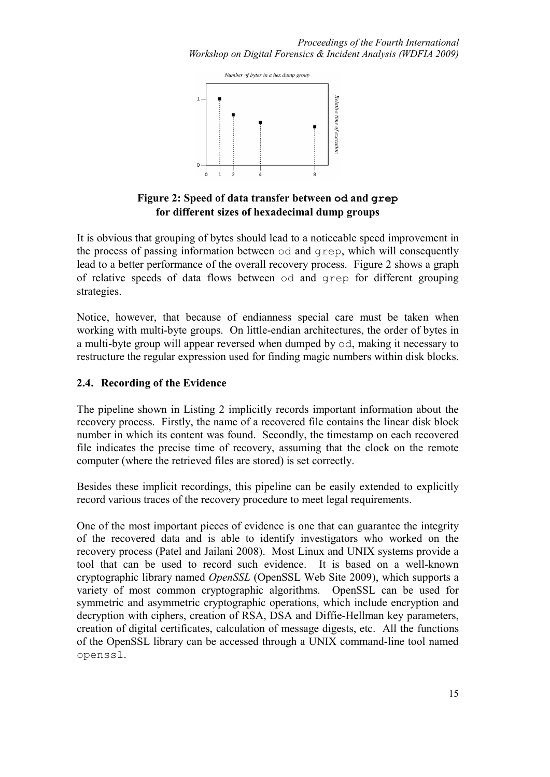

#### **Figure 2: Speed of data transfer between od and grep for different sizes of hexadecimal dump groups**

It is obvious that grouping of bytes should lead to a noticeable speed improvement in the process of passing information between od and grep, which will consequently lead to a better performance of the overall recovery process. Figure 2 shows a graph of relative speeds of data flows between od and grep for different grouping strategies.

Notice, however, that because of endianness special care must be taken when working with multi-byte groups. On little-endian architectures, the order of bytes in a multi-byte group will appear reversed when dumped by od, making it necessary to restructure the regular expression used for finding magic numbers within disk blocks.

#### **2.4. Recording of the Evidence**

The pipeline shown in Listing 2 implicitly records important information about the recovery process. Firstly, the name of a recovered file contains the linear disk block number in which its content was found. Secondly, the timestamp on each recovered file indicates the precise time of recovery, assuming that the clock on the remote computer (where the retrieved files are stored) is set correctly.

Besides these implicit recordings, this pipeline can be easily extended to explicitly record various traces of the recovery procedure to meet legal requirements.

One of the most important pieces of evidence is one that can guarantee the integrity of the recovered data and is able to identify investigators who worked on the recovery process (Patel and Jailani 2008). Most Linux and UNIX systems provide a tool that can be used to record such evidence. It is based on a well-known cryptographic library named *OpenSSL* (OpenSSL Web Site 2009), which supports a variety of most common cryptographic algorithms. OpenSSL can be used for symmetric and asymmetric cryptographic operations, which include encryption and decryption with ciphers, creation of RSA, DSA and Diffie-Hellman key parameters, creation of digital certificates, calculation of message digests, etc. All the functions of the OpenSSL library can be accessed through a UNIX command-line tool named openssl.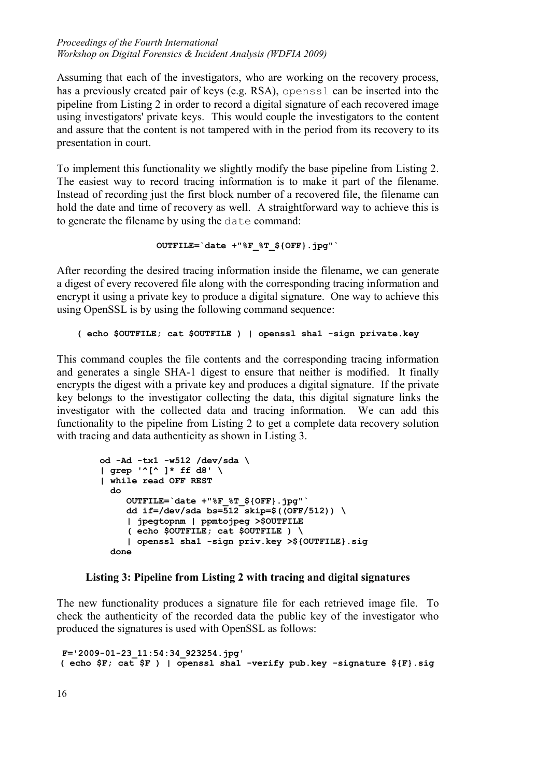Assuming that each of the investigators, who are working on the recovery process, has a previously created pair of keys (e.g. RSA), openssl can be inserted into the pipeline from Listing 2 in order to record a digital signature of each recovered image using investigators' private keys. This would couple the investigators to the content and assure that the content is not tampered with in the period from its recovery to its presentation in court.

To implement this functionality we slightly modify the base pipeline from Listing 2. The easiest way to record tracing information is to make it part of the filename. Instead of recording just the first block number of a recovered file, the filename can hold the date and time of recovery as well. A straightforward way to achieve this is to generate the filename by using the date command:

```
OUTFILE=`date +"%F_%T_${OFF}.jpg"`
```
After recording the desired tracing information inside the filename, we can generate a digest of every recovered file along with the corresponding tracing information and encrypt it using a private key to produce a digital signature. One way to achieve this using OpenSSL is by using the following command sequence:

**( echo \$OUTFILE; cat \$OUTFILE ) | openssl sha1 -sign private.key**

This command couples the file contents and the corresponding tracing information and generates a single SHA-1 digest to ensure that neither is modified. It finally encrypts the digest with a private key and produces a digital signature. If the private key belongs to the investigator collecting the data, this digital signature links the investigator with the collected data and tracing information. We can add this functionality to the pipeline from Listing 2 to get a complete data recovery solution with tracing and data authenticity as shown in Listing 3.

```
 od -Ad -tx1 -w512 /dev/sda \ 
| grep '^[^ ]* ff d8' \ 
| while read OFF REST 
  do 
     OUTFILE=`date +"%F_%T_${OFF}.jpg"` 
    dd if=/dev/sda bs=\frac{1}{2}skip=$((OFF/512)) \
     | jpegtopnm | ppmtojpeg >$OUTFILE 
     ( echo $OUTFILE; cat $OUTFILE ) \ 
     | openssl sha1 -sign priv.key >${OUTFILE}.sig 
  done
```
### **Listing 3: Pipeline from Listing 2 with tracing and digital signatures**

The new functionality produces a signature file for each retrieved image file. To check the authenticity of the recorded data the public key of the investigator who produced the signatures is used with OpenSSL as follows:

 **F='2009-01-23\_11:54:34\_923254.jpg' ( echo \$F; cat \$F ) | openssl sha1 -verify pub.key -signature \${F}.sig**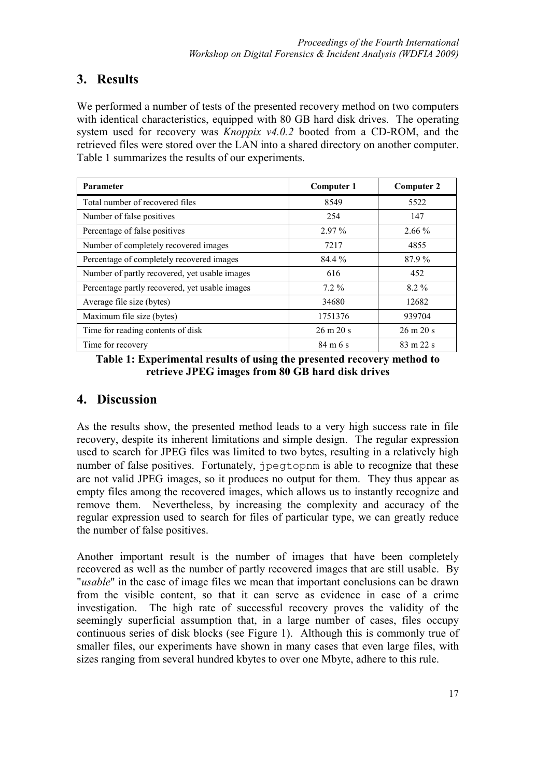# **3. Results**

We performed a number of tests of the presented recovery method on two computers with identical characteristics, equipped with 80 GB hard disk drives. The operating system used for recovery was *Knoppix v4.0.2* booted from a CD-ROM, and the retrieved files were stored over the LAN into a shared directory on another computer. Table 1 summarizes the results of our experiments.

| <b>Parameter</b>                               | <b>Computer 1</b>            | <b>Computer 2</b>            |
|------------------------------------------------|------------------------------|------------------------------|
| Total number of recovered files                | 8549                         | 5522                         |
| Number of false positives                      | 254                          | 147                          |
| Percentage of false positives                  | 2.97 %                       | $2.66\%$                     |
| Number of completely recovered images          | 7217                         | 4855                         |
| Percentage of completely recovered images      | 84.4 %                       | 87.9%                        |
| Number of partly recovered, yet usable images  | 616                          | 452                          |
| Percentage partly recovered, yet usable images | $7.2\%$                      | $8.2\%$                      |
| Average file size (bytes)                      | 34680                        | 12682                        |
| Maximum file size (bytes)                      | 1751376                      | 939704                       |
| Time for reading contents of disk              | $26 \text{ m } 20 \text{ s}$ | $26 \text{ m } 20 \text{ s}$ |
| Time for recovery                              | $84 \text{ m} 6 \text{ s}$   | $83 \text{ m } 22 \text{ s}$ |

**Table 1: Experimental results of using the presented recovery method to retrieve JPEG images from 80 GB hard disk drives** 

## **4. Discussion**

As the results show, the presented method leads to a very high success rate in file recovery, despite its inherent limitations and simple design. The regular expression used to search for JPEG files was limited to two bytes, resulting in a relatively high number of false positives. Fortunately, jpegtopnm is able to recognize that these are not valid JPEG images, so it produces no output for them. They thus appear as empty files among the recovered images, which allows us to instantly recognize and remove them. Nevertheless, by increasing the complexity and accuracy of the regular expression used to search for files of particular type, we can greatly reduce the number of false positives.

Another important result is the number of images that have been completely recovered as well as the number of partly recovered images that are still usable. By "*usable*" in the case of image files we mean that important conclusions can be drawn from the visible content, so that it can serve as evidence in case of a crime investigation. The high rate of successful recovery proves the validity of the seemingly superficial assumption that, in a large number of cases, files occupy continuous series of disk blocks (see Figure 1). Although this is commonly true of smaller files, our experiments have shown in many cases that even large files, with sizes ranging from several hundred kbytes to over one Mbyte, adhere to this rule.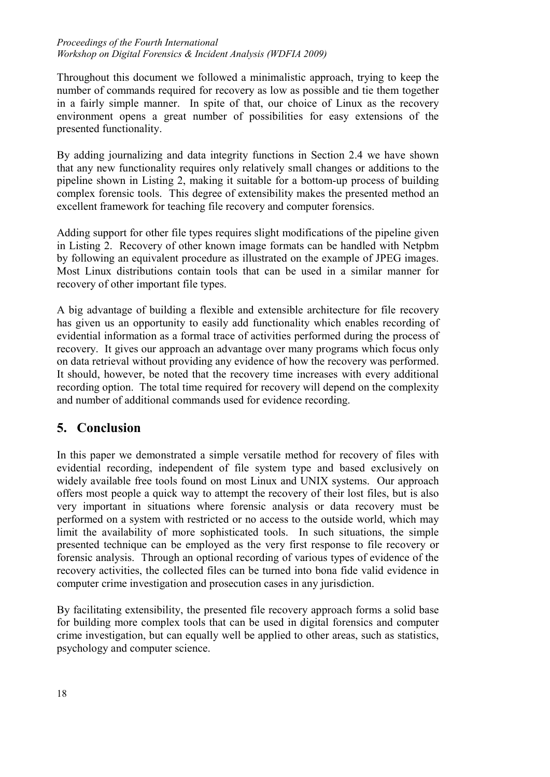Throughout this document we followed a minimalistic approach, trying to keep the number of commands required for recovery as low as possible and tie them together in a fairly simple manner. In spite of that, our choice of Linux as the recovery environment opens a great number of possibilities for easy extensions of the presented functionality.

By adding journalizing and data integrity functions in Section 2.4 we have shown that any new functionality requires only relatively small changes or additions to the pipeline shown in Listing 2, making it suitable for a bottom-up process of building complex forensic tools. This degree of extensibility makes the presented method an excellent framework for teaching file recovery and computer forensics.

Adding support for other file types requires slight modifications of the pipeline given in Listing 2. Recovery of other known image formats can be handled with Netpbm by following an equivalent procedure as illustrated on the example of JPEG images. Most Linux distributions contain tools that can be used in a similar manner for recovery of other important file types.

A big advantage of building a flexible and extensible architecture for file recovery has given us an opportunity to easily add functionality which enables recording of evidential information as a formal trace of activities performed during the process of recovery. It gives our approach an advantage over many programs which focus only on data retrieval without providing any evidence of how the recovery was performed. It should, however, be noted that the recovery time increases with every additional recording option. The total time required for recovery will depend on the complexity and number of additional commands used for evidence recording.

## **5. Conclusion**

In this paper we demonstrated a simple versatile method for recovery of files with evidential recording, independent of file system type and based exclusively on widely available free tools found on most Linux and UNIX systems. Our approach offers most people a quick way to attempt the recovery of their lost files, but is also very important in situations where forensic analysis or data recovery must be performed on a system with restricted or no access to the outside world, which may limit the availability of more sophisticated tools. In such situations, the simple presented technique can be employed as the very first response to file recovery or forensic analysis. Through an optional recording of various types of evidence of the recovery activities, the collected files can be turned into bona fide valid evidence in computer crime investigation and prosecution cases in any jurisdiction.

By facilitating extensibility, the presented file recovery approach forms a solid base for building more complex tools that can be used in digital forensics and computer crime investigation, but can equally well be applied to other areas, such as statistics, psychology and computer science.